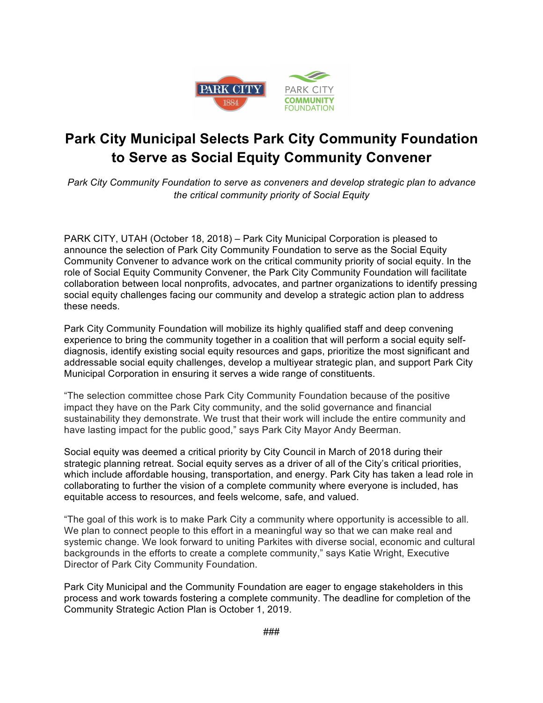

## **Park City Municipal Selects Park City Community Foundation to Serve as Social Equity Community Convener**

*Park City Community Foundation to serve as conveners and develop strategic plan to advance the critical community priority of Social Equity*

PARK CITY, UTAH (October 18, 2018) – Park City Municipal Corporation is pleased to announce the selection of Park City Community Foundation to serve as the Social Equity Community Convener to advance work on the critical community priority of social equity. In the role of Social Equity Community Convener, the Park City Community Foundation will facilitate collaboration between local nonprofits, advocates, and partner organizations to identify pressing social equity challenges facing our community and develop a strategic action plan to address these needs.

Park City Community Foundation will mobilize its highly qualified staff and deep convening experience to bring the community together in a coalition that will perform a social equity selfdiagnosis, identify existing social equity resources and gaps, prioritize the most significant and addressable social equity challenges, develop a multiyear strategic plan, and support Park City Municipal Corporation in ensuring it serves a wide range of constituents.

"The selection committee chose Park City Community Foundation because of the positive impact they have on the Park City community, and the solid governance and financial sustainability they demonstrate. We trust that their work will include the entire community and have lasting impact for the public good," says Park City Mayor Andy Beerman.

Social equity was deemed a critical priority by City Council in March of 2018 during their strategic planning retreat. Social equity serves as a driver of all of the City's critical priorities, which include affordable housing, transportation, and energy. Park City has taken a lead role in collaborating to further the vision of a complete community where everyone is included, has equitable access to resources, and feels welcome, safe, and valued.

"The goal of this work is to make Park City a community where opportunity is accessible to all. We plan to connect people to this effort in a meaningful way so that we can make real and systemic change. We look forward to uniting Parkites with diverse social, economic and cultural backgrounds in the efforts to create a complete community," says Katie Wright, Executive Director of Park City Community Foundation.

Park City Municipal and the Community Foundation are eager to engage stakeholders in this process and work towards fostering a complete community. The deadline for completion of the Community Strategic Action Plan is October 1, 2019.